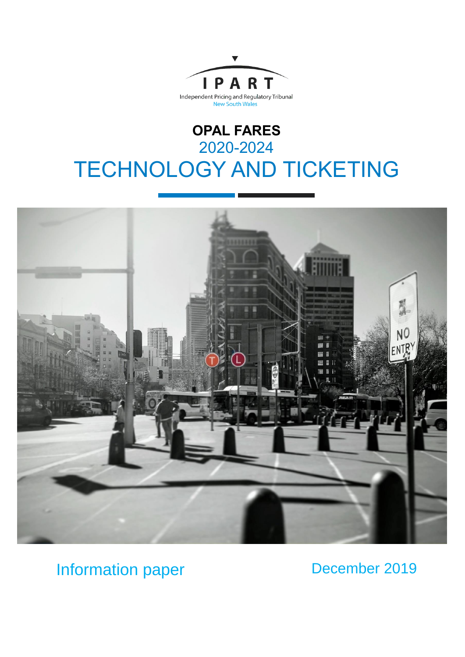

# **OPAL FARES** 2020-2024 TECHNOLOGY AND TICKETING



## Information paper

### December 2019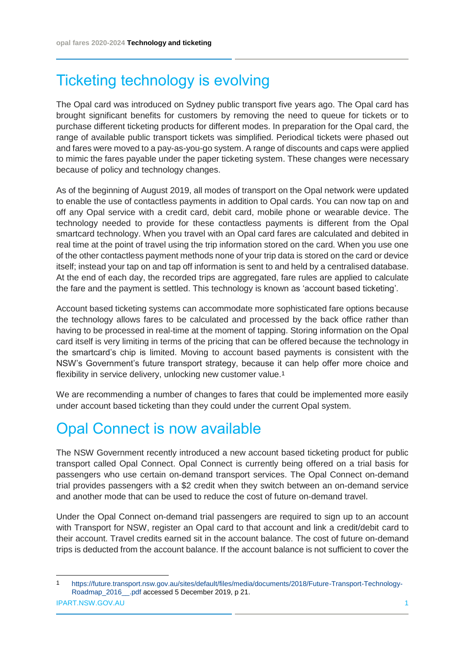### Ticketing technology is evolving

The Opal card was introduced on Sydney public transport five years ago. The Opal card has brought significant benefits for customers by removing the need to queue for tickets or to purchase different ticketing products for different modes. In preparation for the Opal card, the range of available public transport tickets was simplified. Periodical tickets were phased out and fares were moved to a pay-as-you-go system. A range of discounts and caps were applied to mimic the fares payable under the paper ticketing system. These changes were necessary because of policy and technology changes.

As of the beginning of August 2019, all modes of transport on the Opal network were updated to enable the use of contactless payments in addition to Opal cards. You can now tap on and off any Opal service with a credit card, debit card, mobile phone or wearable device. The technology needed to provide for these contactless payments is different from the Opal smartcard technology. When you travel with an Opal card fares are calculated and debited in real time at the point of travel using the trip information stored on the card. When you use one of the other contactless payment methods none of your trip data is stored on the card or device itself; instead your tap on and tap off information is sent to and held by a centralised database. At the end of each day, the recorded trips are aggregated, fare rules are applied to calculate the fare and the payment is settled. This technology is known as 'account based ticketing'.

Account based ticketing systems can accommodate more sophisticated fare options because the technology allows fares to be calculated and processed by the back office rather than having to be processed in real-time at the moment of tapping. Storing information on the Opal card itself is very limiting in terms of the pricing that can be offered because the technology in the smartcard's chip is limited. Moving to account based payments is consistent with the NSW's Government's future transport strategy, because it can help offer more choice and flexibility in service delivery, unlocking new customer value.<sup>1</sup>

We are recommending a number of changes to fares that could be implemented more easily under account based ticketing than they could under the current Opal system.

## Opal Connect is now available

The NSW Government recently introduced a new account based ticketing product for public transport called Opal Connect. Opal Connect is currently being offered on a trial basis for passengers who use certain on-demand transport services. The Opal Connect on-demand trial provides passengers with a \$2 credit when they switch between an on-demand service and another mode that can be used to reduce the cost of future on-demand travel.

Under the Opal Connect on-demand trial passengers are required to sign up to an account with Transport for NSW, register an Opal card to that account and link a credit/debit card to their account. Travel credits earned sit in the account balance. The cost of future on-demand trips is deducted from the account balance. If the account balance is not sufficient to cover the

-

IPART.NSW.GOV.AU 1 1 [https://future.transport.nsw.gov.au/sites/default/files/media/documents/2018/Future-Transport-Technology-](https://future.transport.nsw.gov.au/sites/default/files/media/documents/2018/Future-Transport-Technology-Roadmap_2016__.pdf)[Roadmap\\_2016\\_\\_.pdf](https://future.transport.nsw.gov.au/sites/default/files/media/documents/2018/Future-Transport-Technology-Roadmap_2016__.pdf) accessed 5 December 2019, p 21.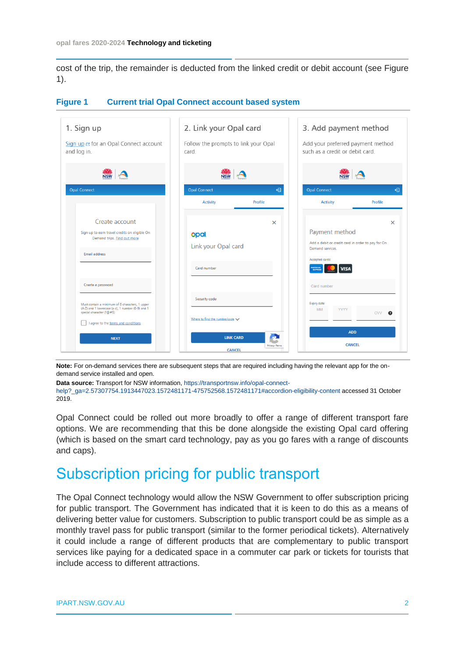cost of the trip, the remainder is deducted from the linked credit or debit account (see Figure 1).

| 1. Sign up                                                                                                                        | 2. Link your Opal card                        |                     | 3. Add payment method                                                |            |
|-----------------------------------------------------------------------------------------------------------------------------------|-----------------------------------------------|---------------------|----------------------------------------------------------------------|------------|
| Sign up et for an Opal Connect account<br>and log in.                                                                             | Follow the prompts to link your Opal<br>card. |                     | Add your preferred payment method<br>such as a credit or debit card. |            |
|                                                                                                                                   |                                               |                     |                                                                      |            |
| <b>Opal Connect</b>                                                                                                               | <b>Opal Connect</b>                           | ⊕                   | <b>Opal Connect</b>                                                  | ⊕          |
|                                                                                                                                   | <b>Activity</b>                               | Profile             | <b>Activity</b>                                                      | Profile    |
| Create account                                                                                                                    |                                               | $\times$            |                                                                      | $\times$   |
| Sign up to earn travel credits on eligible On<br>Demand trips. Find out more                                                      | opal.                                         |                     | Payment method<br>Add a debit or credit card in order to pay for On  |            |
| Email address                                                                                                                     | Link your Opal card                           |                     | Demand services.<br>Accepted cards:                                  |            |
|                                                                                                                                   | Card number                                   |                     | <b>VISA</b><br>AMERICAN                                              |            |
| Create a password                                                                                                                 |                                               |                     | Card number                                                          |            |
| Must contain a minimum of 8 characters. 1 upper<br>(A-Z) and 1 lowercase (a-z), 1 number (0-9) and 1<br>special character (!@#\$) | Security code                                 |                     | <b>Expiry date</b><br><b>MM</b><br>YYYY                              | <b>CVV</b> |
| I agree to the terms and conditions                                                                                               | Where to find the number/code $\vee$          |                     |                                                                      |            |
| <b>NEXT</b>                                                                                                                       | <b>LINK CARD</b>                              | æ<br>Privacy - Term | <b>ADD</b><br><b>CANCEL</b>                                          |            |
|                                                                                                                                   | <b>CANCEL</b>                                 |                     |                                                                      |            |

#### **Figure 1 Current trial Opal Connect account based system**

**Note:** For on-demand services there are subsequent steps that are required including having the relevant app for the ondemand service installed and open.

**Data source:** Transport for NSW information[, https://transportnsw.info/opal-connect-](https://transportnsw.info/opal-connect-help?_ga=2.57307754.1913447023.1572481171-475752568.1572481171#accordion-eligibility-content)

[help?\\_ga=2.57307754.1913447023.1572481171-475752568.1572481171#accordion-eligibility-content](https://transportnsw.info/opal-connect-help?_ga=2.57307754.1913447023.1572481171-475752568.1572481171#accordion-eligibility-content) accessed 31 October 2019.

Opal Connect could be rolled out more broadly to offer a range of different transport fare options. We are recommending that this be done alongside the existing Opal card offering (which is based on the smart card technology, pay as you go fares with a range of discounts and caps).

### Subscription pricing for public transport

The Opal Connect technology would allow the NSW Government to offer subscription pricing for public transport. The Government has indicated that it is keen to do this as a means of delivering better value for customers. Subscription to public transport could be as simple as a monthly travel pass for public transport (similar to the former periodical tickets). Alternatively it could include a range of different products that are complementary to public transport services like paying for a dedicated space in a commuter car park or tickets for tourists that include access to different attractions.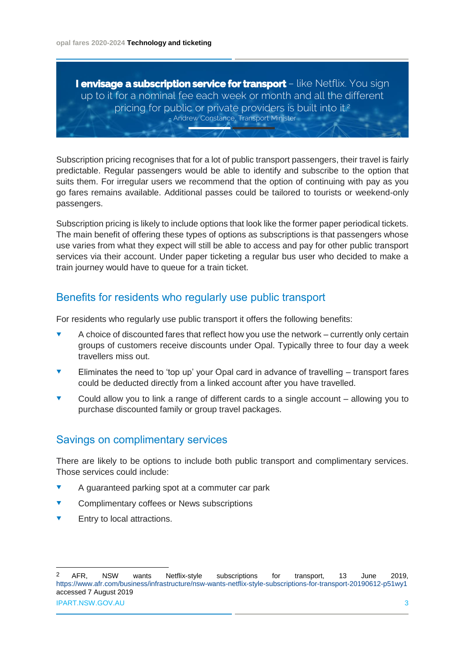**I envisage a subscription service for transport** – like Netflix. You sign up to it for a nominal fee each week or month and all the different pricing for public or private providers is built into it.<sup>2</sup> - Andrew Constance, Transport Minister

Subscription pricing recognises that for a lot of public transport passengers, their travel is fairly predictable. Regular passengers would be able to identify and subscribe to the option that suits them. For irregular users we recommend that the option of continuing with pay as you go fares remains available. Additional passes could be tailored to tourists or weekend-only passengers.

Subscription pricing is likely to include options that look like the former paper periodical tickets. The main benefit of offering these types of options as subscriptions is that passengers whose use varies from what they expect will still be able to access and pay for other public transport services via their account. Under paper ticketing a regular bus user who decided to make a train journey would have to queue for a train ticket.

### Benefits for residents who regularly use public transport

For residents who regularly use public transport it offers the following benefits:

- A choice of discounted fares that reflect how you use the network currently only certain groups of customers receive discounts under Opal. Typically three to four day a week travellers miss out.
- Eliminates the need to 'top up' your Opal card in advance of travelling transport fares could be deducted directly from a linked account after you have travelled.
- Could allow you to link a range of different cards to a single account allowing you to purchase discounted family or group travel packages.

### Savings on complimentary services

There are likely to be options to include both public transport and complimentary services. Those services could include:

- A guaranteed parking spot at a commuter car park
- Complimentary coffees or News subscriptions
- Entry to local attractions.

-

IPART.NSW.GOV.AU 3 2 AFR, NSW wants Netflix-style subscriptions for transport, 13 June 2019, <https://www.afr.com/business/infrastructure/nsw-wants-netflix-style-subscriptions-for-transport-20190612-p51wy1> accessed 7 August 2019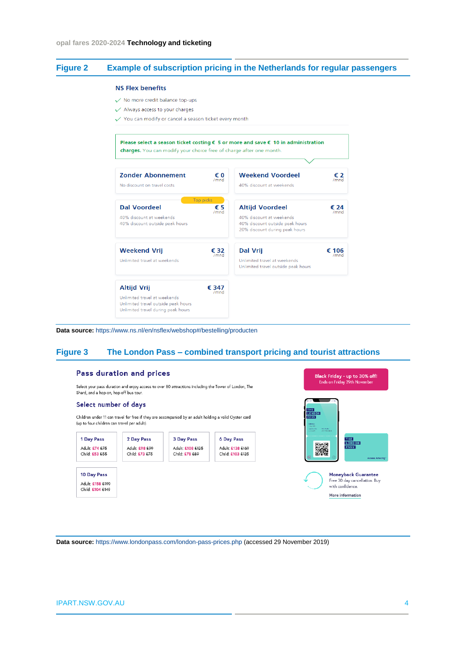#### **Figure 2 Example of subscription pricing in the Netherlands for regular passengers**

#### **NS Flex benefits**

- No more credit balance top-ups
- $\checkmark$  Always access to your charges
- √ You can modify or cancel a season ticket every month



**Data source:** <https://www.ns.nl/en/nsflex/webshop#/bestelling/producten>

#### **Figure 3 The London Pass – combined transport pricing and tourist attractions**

#### Pass duration and prices

Select your pass duration and eniov access to over 80 attractions including the Tower of London. The Shard, and a hop-on, hop-off bus tour.

#### Select number of days

Children under 11 can travel for free if they are accompanied by an adult holding a valid Oyster card (up to four children can travel per adult).





**Data source:** <https://www.londonpass.com/london-pass-prices.php> (accessed 29 November 2019)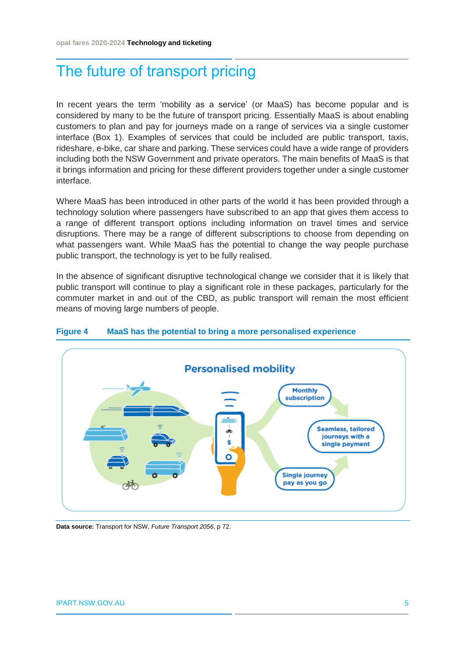### The future of transport pricing

In recent years the term 'mobility as a service' (or MaaS) has become popular and is considered by many to be the future of transport pricing. Essentially MaaS is about enabling customers to plan and pay for journeys made on a range of services via a single customer interface (Box 1). Examples of services that could be included are public transport, taxis, rideshare, e-bike, car share and parking. These services could have a wide range of providers including both the NSW Government and private operators. The main benefits of MaaS is that it brings information and pricing for these different providers together under a single customer interface.

Where MaaS has been introduced in other parts of the world it has been provided through a technology solution where passengers have subscribed to an app that gives them access to a range of different transport options including information on travel times and service disruptions. There may be a range of different subscriptions to choose from depending on what passengers want. While MaaS has the potential to change the way people purchase public transport, the technology is yet to be fully realised.

In the absence of significant disruptive technological change we consider that it is likely that public transport will continue to play a significant role in these packages, particularly for the commuter market in and out of the CBD, as public transport will remain the most efficient means of moving large numbers of people.



#### **Figure 4 MaaS has the potential to bring a more personalised experience**

**Data source:** Transport for NSW, *Future Transport 2056*, p 72.